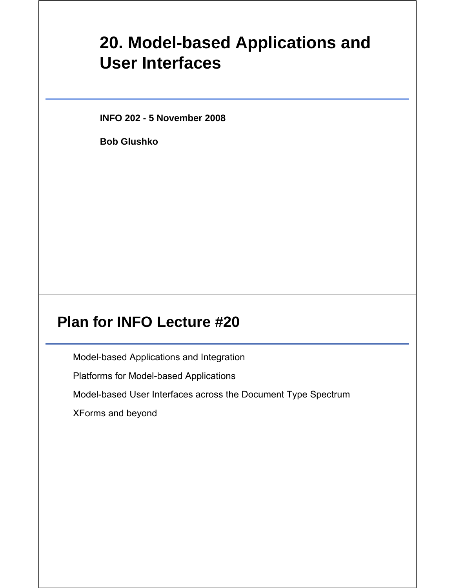# **20. Model-based Applications and User Interfaces**

**INFO 202 - 5 November 2008**

**Bob Glushko**

## **Plan for INFO Lecture #20**

Model-based Applications and Integration

Platforms for Model-based Applications

Model-based User Interfaces across the Document Type Spectrum

XForms and beyond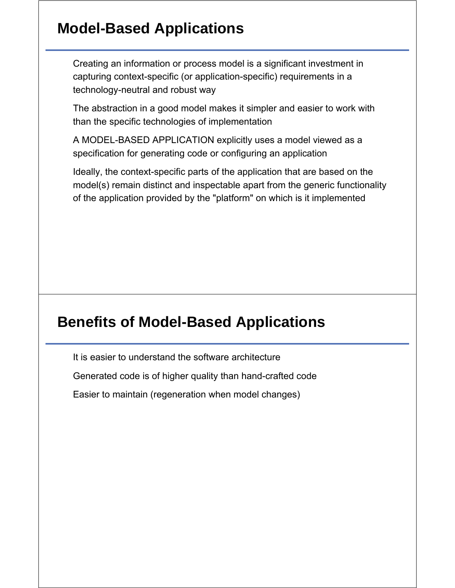### **Model-Based Applications**

Creating an information or process model is a significant investment in capturing context-specific (or application-specific) requirements in a technology-neutral and robust way

The abstraction in a good model makes it simpler and easier to work with than the specific technologies of implementation

A MODEL-BASED APPLICATION explicitly uses a model viewed as a specification for generating code or configuring an application

Ideally, the context-specific parts of the application that are based on the model(s) remain distinct and inspectable apart from the generic functionality of the application provided by the "platform" on which is it implemented

### **Benefits of Model-Based Applications**

It is easier to understand the software architecture Generated code is of higher quality than hand-crafted code

Easier to maintain (regeneration when model changes)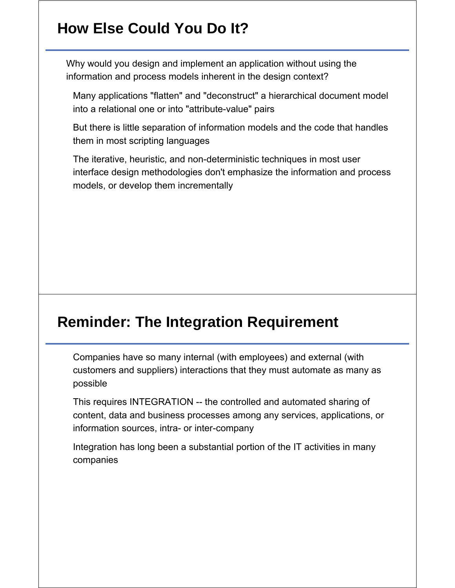# **How Else Could You Do It?**

Why would you design and implement an application without using the information and process models inherent in the design context?

Many applications "flatten" and "deconstruct" a hierarchical document model into a relational one or into "attribute-value" pairs

But there is little separation of information models and the code that handles them in most scripting languages

The iterative, heuristic, and non-deterministic techniques in most user interface design methodologies don't emphasize the information and process models, or develop them incrementally

### **Reminder: The Integration Requirement**

Companies have so many internal (with employees) and external (with customers and suppliers) interactions that they must automate as many as possible

This requires INTEGRATION -- the controlled and automated sharing of content, data and business processes among any services, applications, or information sources, intra- or inter-company

Integration has long been a substantial portion of the IT activities in many companies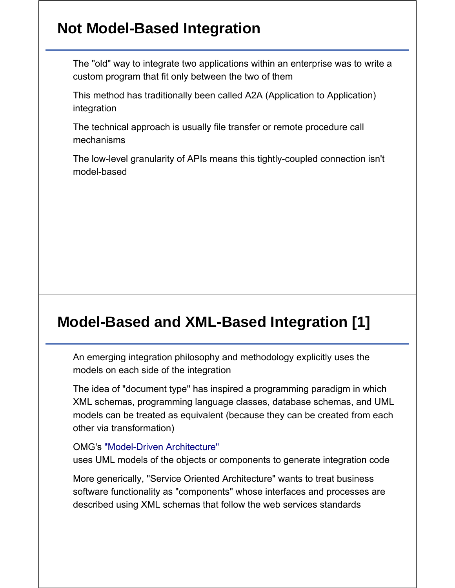### **Not Model-Based Integration**

The "old" way to integrate two applications within an enterprise was to write a custom program that fit only between the two of them

This method has traditionally been called A2A (Application to Application) integration

The technical approach is usually file transfer or remote procedure call mechanisms

The low-level granularity of APIs means this tightly-coupled connection isn't model-based

# **Model-Based and XML-Based Integration [1]**

An emerging integration philosophy and methodology explicitly uses the models on each side of the integration

The idea of "document type" has inspired a programming paradigm in which XML schemas, programming language classes, database schemas, and UML models can be treated as equivalent (because they can be created from each other via transformation)

#### OMG's "Model-Driven Architecture"

uses UML models of the objects or components to generate integration code

More generically, "Service Oriented Architecture" wants to treat business software functionality as "components" whose interfaces and processes are described using XML schemas that follow the web services standards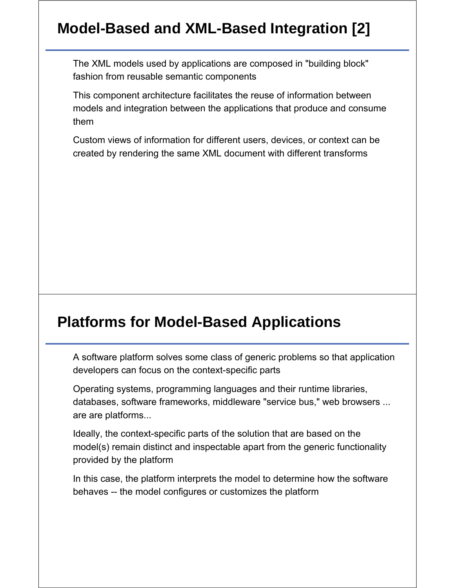# **Model-Based and XML-Based Integration [2]**

The XML models used by applications are composed in "building block" fashion from reusable semantic components

This component architecture facilitates the reuse of information between models and integration between the applications that produce and consume them

Custom views of information for different users, devices, or context can be created by rendering the same XML document with different transforms

#### **Platforms for Model-Based Applications**

A software platform solves some class of generic problems so that application developers can focus on the context-specific parts

Operating systems, programming languages and their runtime libraries, databases, software frameworks, middleware "service bus," web browsers ... are are platforms...

Ideally, the context-specific parts of the solution that are based on the model(s) remain distinct and inspectable apart from the generic functionality provided by the platform

In this case, the platform interprets the model to determine how the software behaves -- the model configures or customizes the platform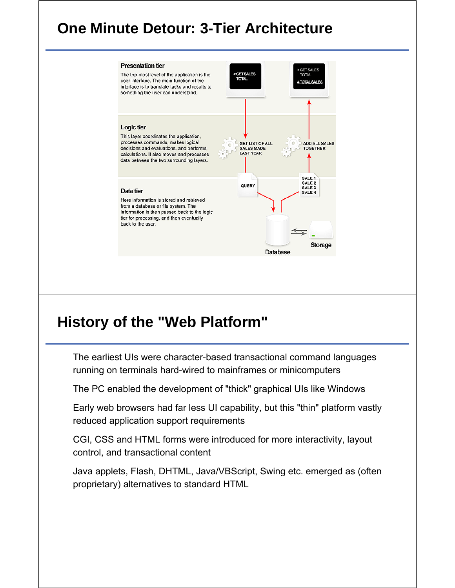## **One Minute Detour: 3-Tier Architecture**



## **History of the "Web Platform"**

The earliest UIs were character-based transactional command languages running on terminals hard-wired to mainframes or minicomputers

The PC enabled the development of "thick" graphical UIs like Windows

Early web browsers had far less UI capability, but this "thin" platform vastly reduced application support requirements

CGI, CSS and HTML forms were introduced for more interactivity, layout control, and transactional content

Java applets, Flash, DHTML, Java/VBScript, Swing etc. emerged as (often proprietary) alternatives to standard HTML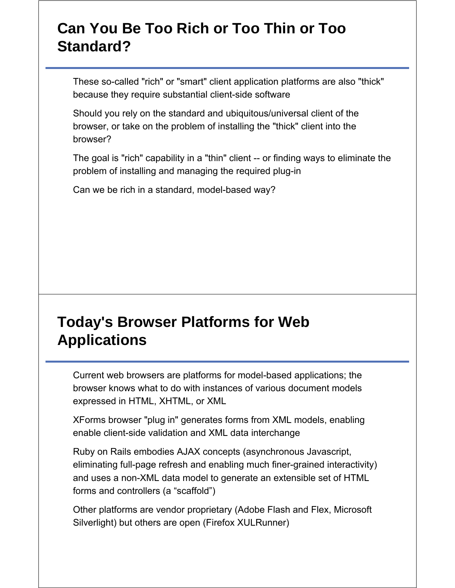## **Can You Be Too Rich or Too Thin or Too Standard?**

These so-called "rich" or "smart" client application platforms are also "thick" because they require substantial client-side software

Should you rely on the standard and ubiquitous/universal client of the browser, or take on the problem of installing the "thick" client into the browser?

The goal is "rich" capability in a "thin" client -- or finding ways to eliminate the problem of installing and managing the required plug-in

Can we be rich in a standard, model-based way?

## **Today's Browser Platforms for Web Applications**

Current web browsers are platforms for model-based applications; the browser knows what to do with instances of various document models expressed in HTML, XHTML, or XML

XForms browser "plug in" generates forms from XML models, enabling enable client-side validation and XML data interchange

Ruby on Rails embodies AJAX concepts (asynchronous Javascript, eliminating full-page refresh and enabling much finer-grained interactivity) and uses a non-XML data model to generate an extensible set of HTML forms and controllers (a "scaffold")

Other platforms are vendor proprietary (Adobe Flash and Flex, Microsoft Silverlight) but others are open (Firefox XULRunner)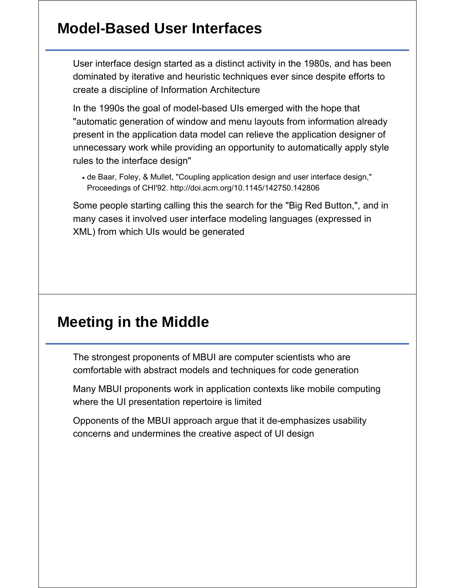### **Model-Based User Interfaces**

User interface design started as a distinct activity in the 1980s, and has been dominated by iterative and heuristic techniques ever since despite efforts to create a discipline of Information Architecture

In the 1990s the goal of model-based UIs emerged with the hope that "automatic generation of window and menu layouts from information already present in the application data model can relieve the application designer of unnecessary work while providing an opportunity to automatically apply style rules to the interface design"

de Baar, Foley, & Mullet, "Coupling application design and user interface design," Proceedings of CHI'92. http://doi.acm.org/10.1145/142750.142806

Some people starting calling this the search for the "Big Red Button,", and in many cases it involved user interface modeling languages (expressed in XML) from which UIs would be generated

#### **Meeting in the Middle**

The strongest proponents of MBUI are computer scientists who are comfortable with abstract models and techniques for code generation

Many MBUI proponents work in application contexts like mobile computing where the UI presentation repertoire is limited

Opponents of the MBUI approach argue that it de-emphasizes usability concerns and undermines the creative aspect of UI design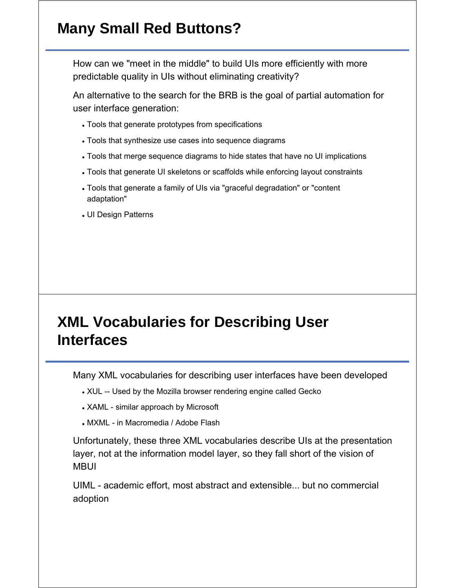# **Many Small Red Buttons?**

How can we "meet in the middle" to build UIs more efficiently with more predictable quality in UIs without eliminating creativity?

An alternative to the search for the BRB is the goal of partial automation for user interface generation:

- Tools that generate prototypes from specifications
- Tools that synthesize use cases into sequence diagrams
- Tools that merge sequence diagrams to hide states that have no UI implications
- Tools that generate UI skeletons or scaffolds while enforcing layout constraints
- Tools that generate a family of UIs via "graceful degradation" or "content adaptation"
- UI Design Patterns

## **XML Vocabularies for Describing User Interfaces**

Many XML vocabularies for describing user interfaces have been developed

- XUL -- Used by the Mozilla browser rendering engine called Gecko
- XAML similar approach by Microsoft
- MXML in Macromedia / Adobe Flash

Unfortunately, these three XML vocabularies describe UIs at the presentation layer, not at the information model layer, so they fall short of the vision of MBUI

UIML - academic effort, most abstract and extensible... but no commercial adoption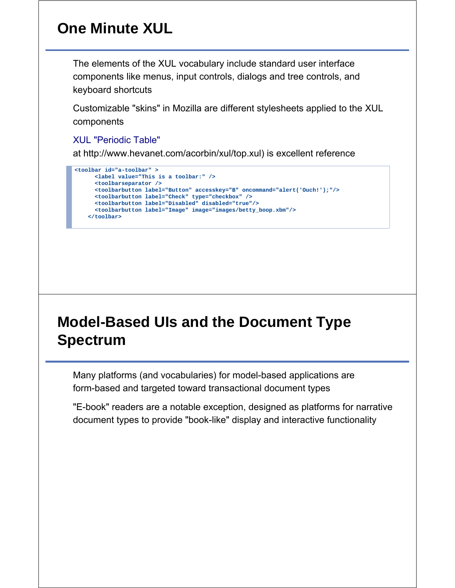# **One Minute XUL**

The elements of the XUL vocabulary include standard user interface components like menus, input controls, dialogs and tree controls, and keyboard shortcuts

Customizable "skins" in Mozilla are different stylesheets applied to the XUL components

XUL "Periodic Table"

at http://www.hevanet.com/acorbin/xul/top.xul) is excellent reference

```
<toolbar id="a-toolbar" >
 <label value="This is a toolbar:" />
  <toolbarseparator />
 <toolbarbutton label="Button" accesskey="B" oncommand="alert('Ouch!');"/>
 <toolbarbutton label="Check" type="checkbox" />
 <toolbarbutton label="Disabled" disabled="true"/>
 <toolbarbutton label="Image" image="images/betty_boop.xbm"/>
</toolbar>
```
# **Model-Based UIs and the Document Type Spectrum**

Many platforms (and vocabularies) for model-based applications are form-based and targeted toward transactional document types

"E-book" readers are a notable exception, designed as platforms for narrative document types to provide "book-like" display and interactive functionality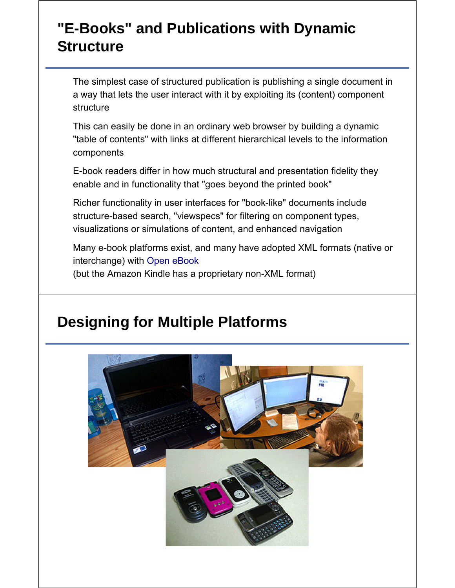## **"E-Books" and Publications with Dynamic Structure**

The simplest case of structured publication is publishing a single document in a way that lets the user interact with it by exploiting its (content) component **structure** 

This can easily be done in an ordinary web browser by building a dynamic "table of contents" with links at different hierarchical levels to the information components

E-book readers differ in how much structural and presentation fidelity they enable and in functionality that "goes beyond the printed book"

Richer functionality in user interfaces for "book-like" documents include structure-based search, "viewspecs" for filtering on component types, visualizations or simulations of content, and enhanced navigation

Many e-book platforms exist, and many have adopted XML formats (native or interchange) with Open eBook (but the Amazon Kindle has a proprietary non-XML format)

# **Designing for Multiple Platforms**

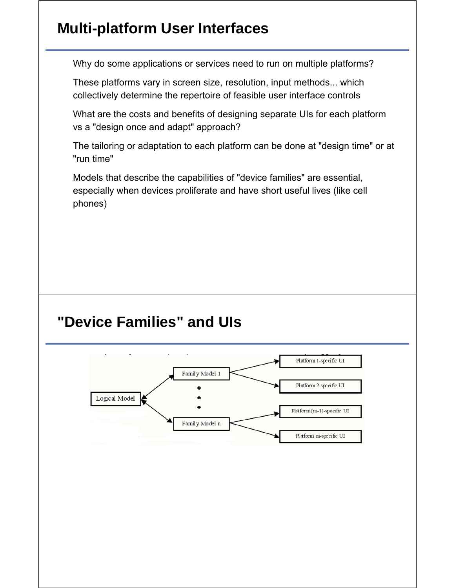## **Multi-platform User Interfaces**

Why do some applications or services need to run on multiple platforms?

These platforms vary in screen size, resolution, input methods... which collectively determine the repertoire of feasible user interface controls

What are the costs and benefits of designing separate UIs for each platform vs a "design once and adapt" approach?

The tailoring or adaptation to each platform can be done at "design time" or at "run time"

Models that describe the capabilities of "device families" are essential, especially when devices proliferate and have short useful lives (like cell phones)

### **"Device Families" and UIs**

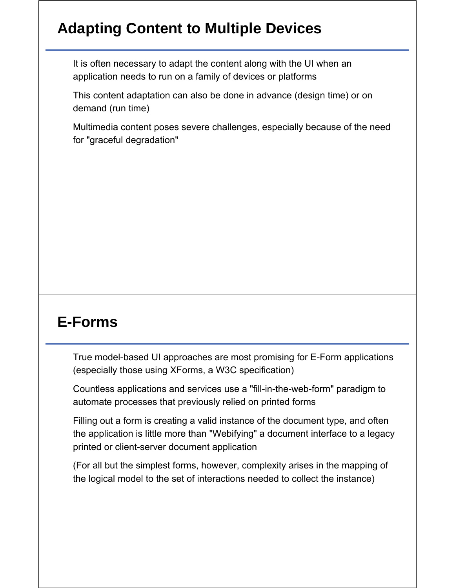# **Adapting Content to Multiple Devices**

It is often necessary to adapt the content along with the UI when an application needs to run on a family of devices or platforms

This content adaptation can also be done in advance (design time) or on demand (run time)

Multimedia content poses severe challenges, especially because of the need for "graceful degradation"

### **E-Forms**

True model-based UI approaches are most promising for E-Form applications (especially those using XForms, a W3C specification)

Countless applications and services use a "fill-in-the-web-form" paradigm to automate processes that previously relied on printed forms

Filling out a form is creating a valid instance of the document type, and often the application is little more than "Webifying" a document interface to a legacy printed or client-server document application

(For all but the simplest forms, however, complexity arises in the mapping of the logical model to the set of interactions needed to collect the instance)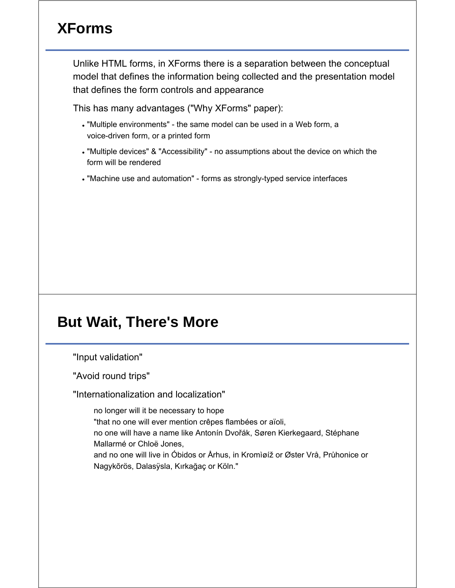# **XForms**

Unlike HTML forms, in XForms there is a separation between the conceptual model that defines the information being collected and the presentation model that defines the form controls and appearance

This has many advantages ("Why XForms" paper):

- "Multiple environments" the same model can be used in a Web form, a voice-driven form, or a printed form
- "Multiple devices" & "Accessibility" no assumptions about the device on which the form will be rendered
- "Machine use and automation" forms as strongly-typed service interfaces

#### **But Wait, There's More**

"Input validation"

"Avoid round trips"

"Internationalization and localization"

no longer will it be necessary to hope "that no one will ever mention crêpes flambées or aïoli, no one will have a name like Antonín Dvořák, Søren Kierkegaard, Stéphane Mallarmé or Chloë Jones, and no one will live in Óbidos or Århus, in Kromìøíž or Øster Vrå, Průhonice or Nagykõrös, Dalasÿsla, Kırkağaç or Köln."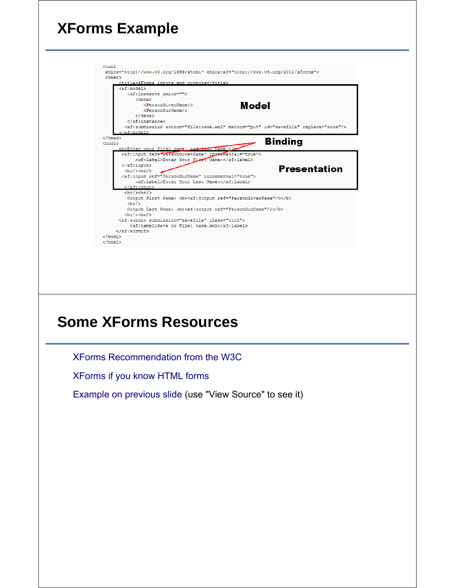# **XForms Example**



## **Some XForms Resources**

XForms Recommendation from the W3C

XForms if you know HTML forms

Example on previous slide (use "View Source" to see it)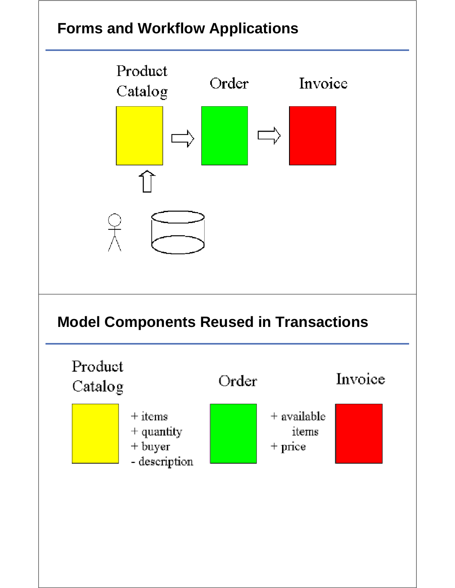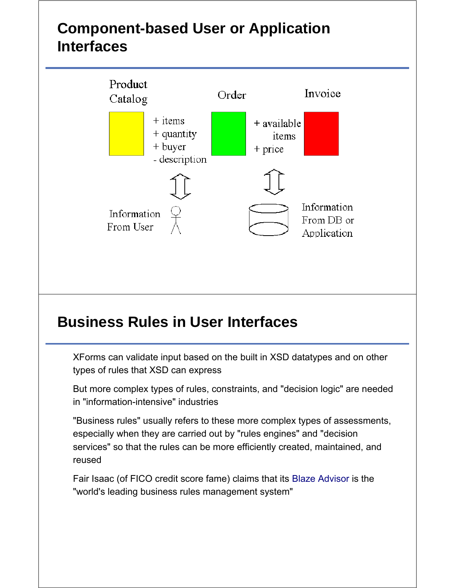# **Component-based User or Application Interfaces**



### **Business Rules in User Interfaces**

XForms can validate input based on the built in XSD datatypes and on other types of rules that XSD can express

But more complex types of rules, constraints, and "decision logic" are needed in "information-intensive" industries

"Business rules" usually refers to these more complex types of assessments, especially when they are carried out by "rules engines" and "decision services" so that the rules can be more efficiently created, maintained, and reused

Fair Isaac (of FICO credit score fame) claims that its Blaze Advisor is the "world's leading business rules management system"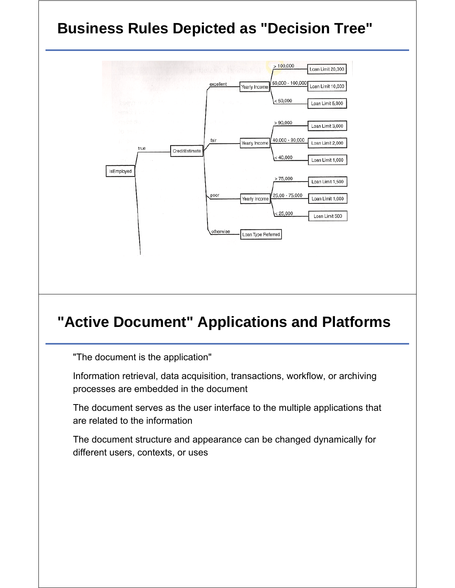# **Business Rules Depicted as "Decision Tree"**



## **"Active Document" Applications and Platforms**

"The document is the application"

Information retrieval, data acquisition, transactions, workflow, or archiving processes are embedded in the document

The document serves as the user interface to the multiple applications that are related to the information

The document structure and appearance can be changed dynamically for different users, contexts, or uses